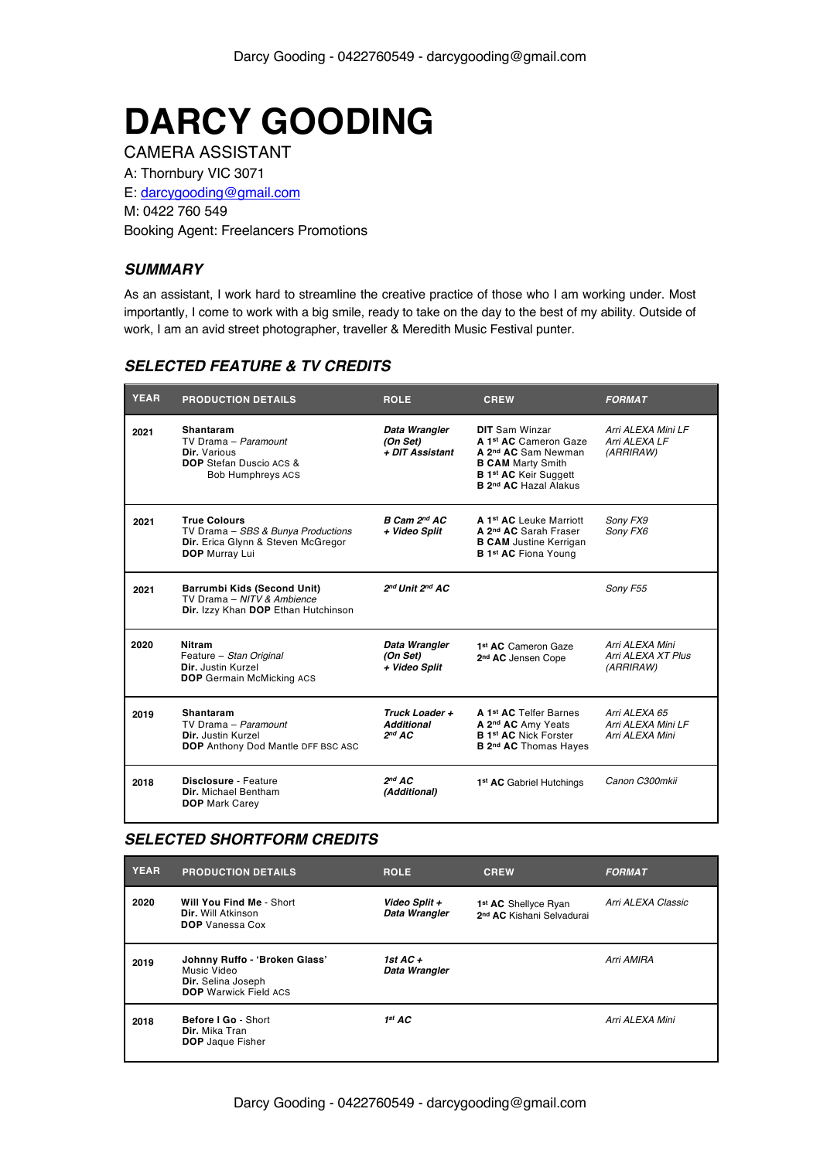# **DARCY GOODING**

CAMERA ASSISTANT A: Thornbury VIC 3071 E: darcygooding@gmail.com M: 0422 760 549 Booking Agent: Freelancers Promotions

## *SUMMARY*

As an assistant, I work hard to streamline the creative practice of those who I am working under. Most importantly, I come to work with a big smile, ready to take on the day to the best of my ability. Outside of work, I am an avid street photographer, traveller & Meredith Music Festival punter.

## *SELECTED FEATURE & TV CREDITS*

| <b>YEAR</b> | <b>PRODUCTION DETAILS</b>                                                                                                | <b>ROLE</b>                                               | <b>CREW</b>                                                                                                                                                                        | <b>FORMAT</b>                                          |
|-------------|--------------------------------------------------------------------------------------------------------------------------|-----------------------------------------------------------|------------------------------------------------------------------------------------------------------------------------------------------------------------------------------------|--------------------------------------------------------|
| 2021        | Shantaram<br>TV Drama - Paramount<br>Dir. Various<br><b>DOP</b> Stefan Duscio ACS &<br><b>Bob Humphreys ACS</b>          | Data Wrangler<br>(On Set)<br>+ DIT Assistant              | <b>DIT</b> Sam Winzar<br>A 1st AC Cameron Gaze<br>A 2 <sup>nd</sup> AC Sam Newman<br><b>B CAM Marty Smith</b><br><b>B 1st AC Keir Suggett</b><br>B 2 <sup>nd</sup> AC Hazal Alakus | Arri ALEXA Mini LF<br>Arri ALEXA LF<br>(ARRIRAW)       |
| 2021        | <b>True Colours</b><br>TV Drama - SBS & Bunya Productions<br>Dir. Erica Glynn & Steven McGregor<br><b>DOP</b> Murray Lui | B Cam 2nd AC<br>+ Video Split                             | A 1 <sup>st</sup> AC Leuke Marriott<br>A 2 <sup>nd</sup> AC Sarah Fraser<br><b>B CAM</b> Justine Kerrigan<br><b>B 1st AC Fiona Young</b>                                           | Sony FX9<br>Sony FX6                                   |
| 2021        | Barrumbi Kids (Second Unit)<br>TV Drama - NITV & Ambience<br>Dir. Izzy Khan DOP Ethan Hutchinson                         | 2nd Unit 2nd AC                                           |                                                                                                                                                                                    | Sony F55                                               |
| 2020        | <b>Nitram</b><br>Feature - Stan Original<br>Dir. Justin Kurzel<br><b>DOP</b> Germain McMicking ACS                       | Data Wrangler<br>(On Set)<br>+ Video Split                | 1 <sup>st</sup> AC Cameron Gaze<br>2 <sup>nd</sup> AC Jensen Cope                                                                                                                  | Arri ALEXA Mini<br>Arri ALEXA XT Plus<br>(ARRIRAW)     |
| 2019        | <b>Shantaram</b><br>TV Drama - Paramount<br>Dir. Justin Kurzel<br>DOP Anthony Dod Mantle DFF BSC ASC                     | Truck Loader +<br><b>Additional</b><br>2 <sup>nd</sup> AC | A 1 <sup>st</sup> AC Telfer Barnes<br>A 2 <sup>nd</sup> AC Amy Yeats<br><b>B 1st AC Nick Forster</b><br>B 2 <sup>nd</sup> AC Thomas Hayes                                          | Arri ALEXA 65<br>Arri ALEXA Mini LF<br>Arri ALEXA Mini |
| 2018        | Disclosure - Feature<br>Dir. Michael Bentham<br><b>DOP</b> Mark Carey                                                    | 2 <sup>nd</sup> AC<br>(Additional)                        | 1 <sup>st</sup> AC Gabriel Hutchings                                                                                                                                               | Canon C300mkii                                         |

# *SELECTED SHORTFORM CREDITS*

| <b>YEAR</b> | <b>PRODUCTION DETAILS</b>                                                                          | <b>ROLE</b>                    | <b>CREW</b>                                                               | <b>FORMAT</b>      |
|-------------|----------------------------------------------------------------------------------------------------|--------------------------------|---------------------------------------------------------------------------|--------------------|
| 2020        | Will You Find Me - Short<br>Dir. Will Atkinson<br><b>DOP</b> Vanessa Cox                           | Video Split +<br>Data Wrangler | 1 <sup>st</sup> AC Shellyce Ryan<br>2 <sup>nd</sup> AC Kishani Selvadurai | Arri ALEXA Classic |
| 2019        | Johnny Ruffo - 'Broken Glass'<br>Music Video<br>Dir. Selina Joseph<br><b>DOP</b> Warwick Field ACS | 1st AC +<br>Data Wrangler      |                                                                           | Arri AMIRA         |
| 2018        | Before I Go - Short<br>Dir. Mika Tran<br><b>DOP</b> Jaque Fisher                                   | $1^{st}$ AC                    |                                                                           | Arri ALEXA Mini    |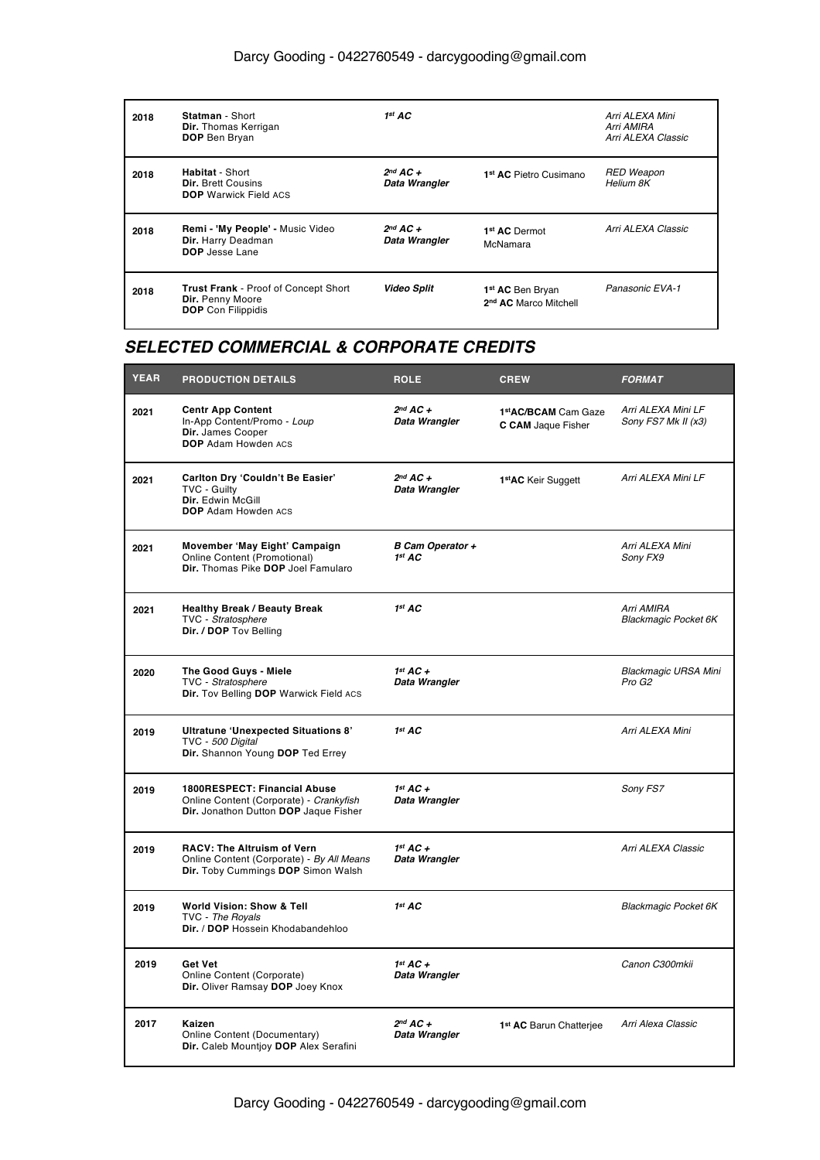# Darcy Gooding - 0422760549 - darcygooding@gmail.com

| 2018 | Statman - Short<br><b>Dir.</b> Thomas Kerrigan<br><b>DOP</b> Ben Bryan                       | $1^{st}$ AC                    |                                                                   | Arri ALEXA Mini<br>Arri AMIRA<br>Arri ALEXA Classic |
|------|----------------------------------------------------------------------------------------------|--------------------------------|-------------------------------------------------------------------|-----------------------------------------------------|
| 2018 | <b>Habitat - Short</b><br><b>Dir.</b> Brett Cousins<br><b>DOP</b> Warwick Field ACS          | $2^{nd}$ AC +<br>Data Wrangler | 1 <sup>st</sup> AC Pietro Cusimano                                | <b>RED Weapon</b><br>Helium 8K                      |
| 2018 | Remi - 'My People' - Music Video<br>Dir. Harry Deadman<br>DOP Jesse Lane                     | $2^{nd}$ AC +<br>Data Wrangler | 1 <sup>st</sup> AC Dermot<br>McNamara                             | Arri ALEXA Classic                                  |
| 2018 | <b>Trust Frank</b> - Proof of Concept Short<br>Dir. Penny Moore<br><b>DOP</b> Con Filippidis | <b>Video Split</b>             | 1 <sup>st</sup> AC Ben Bryan<br>2 <sup>nd</sup> AC Marco Mitchell | Panasonic EVA-1                                     |

# *SELECTED COMMERCIAL & CORPORATE CREDITS*

| <b>YEAR</b> | <b>PRODUCTION DETAILS</b>                                                                                            | <b>ROLE</b>                                   | <b>CREW</b>                                      | <b>FORMAT</b>                                     |
|-------------|----------------------------------------------------------------------------------------------------------------------|-----------------------------------------------|--------------------------------------------------|---------------------------------------------------|
| 2021        | <b>Centr App Content</b><br>In-App Content/Promo - Loup<br>Dir. James Cooper<br><b>DOP</b> Adam Howden ACS           | $2^{nd}$ AC +<br>Data Wrangler                | 1stAC/BCAM Cam Gaze<br><b>C CAM</b> Jaque Fisher | Arri ALEXA Mini LF<br>Sony FS7 Mk II (x3)         |
| 2021        | Carlton Dry 'Couldn't Be Easier'<br>TVC - Guilty<br>Dir. Edwin McGill<br><b>DOP</b> Adam Howden ACS                  | $2^{nd}$ AC +<br>Data Wrangler                | 1 <sup>st</sup> AC Keir Suggett                  | Arri ALEXA Mini LF                                |
| 2021        | Movember 'May Eight' Campaign<br>Online Content (Promotional)<br>Dir. Thomas Pike DOP Joel Famularo                  | <b>B Cam Operator +</b><br>1 <sup>st</sup> AC |                                                  | Arri ALEXA Mini<br>Sony FX9                       |
| 2021        | <b>Healthy Break / Beauty Break</b><br>TVC - Stratosphere<br>Dir. / DOP Tov Belling                                  | 1 <sup>st</sup> AC                            |                                                  | Arri AMIRA<br><b>Blackmagic Pocket 6K</b>         |
| 2020        | The Good Guys - Miele<br>TVC - Stratosphere<br>Dir. Tov Belling DOP Warwick Field ACS                                | $1^{st}$ AC +<br>Data Wrangler                |                                                  | <b>Blackmagic URSA Mini</b><br>Pro G <sub>2</sub> |
| 2019        | <b>Ultratune 'Unexpected Situations 8'</b><br>TVC - 500 Digital<br>Dir. Shannon Young DOP Ted Errey                  | 1 <sup>st</sup> AC                            |                                                  | Arri ALEXA Mini                                   |
| 2019        | 1800RESPECT: Financial Abuse<br>Online Content (Corporate) - Crankyfish<br>Dir. Jonathon Dutton DOP Jaque Fisher     | $1^{st}$ AC +<br>Data Wrangler                |                                                  | Sony FS7                                          |
| 2019        | <b>RACV: The Altruism of Vern</b><br>Online Content (Corporate) - By All Means<br>Dir. Toby Cummings DOP Simon Walsh | $1^{st}$ AC +<br>Data Wrangler                |                                                  | Arri ALEXA Classic                                |
| 2019        | World Vision: Show & Tell<br>TVC - The Royals<br>Dir. / DOP Hossein Khodabandehloo                                   | 1 <sup>st</sup> AC                            |                                                  | <b>Blackmagic Pocket 6K</b>                       |
| 2019        | Get Vet<br>Online Content (Corporate)<br>Dir. Oliver Ramsay DOP Joey Knox                                            | $1^{st}$ AC +<br>Data Wrangler                |                                                  | Canon C300mkii                                    |
| 2017        | Kaizen<br>Online Content (Documentary)<br>Dir. Caleb Mountjoy DOP Alex Serafini                                      | $2^{nd}$ AC +<br>Data Wrangler                | 1 <sup>st</sup> AC Barun Chatterjee              | Arri Alexa Classic                                |